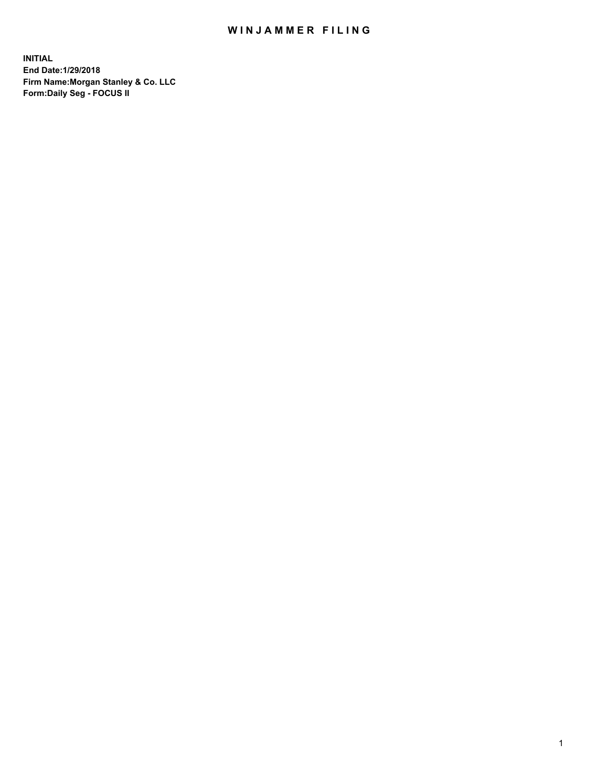### WIN JAMMER FILING

**INITIAL End Date:1/29/2018 Firm Name:Morgan Stanley & Co. LLC Form:Daily Seg - FOCUS II**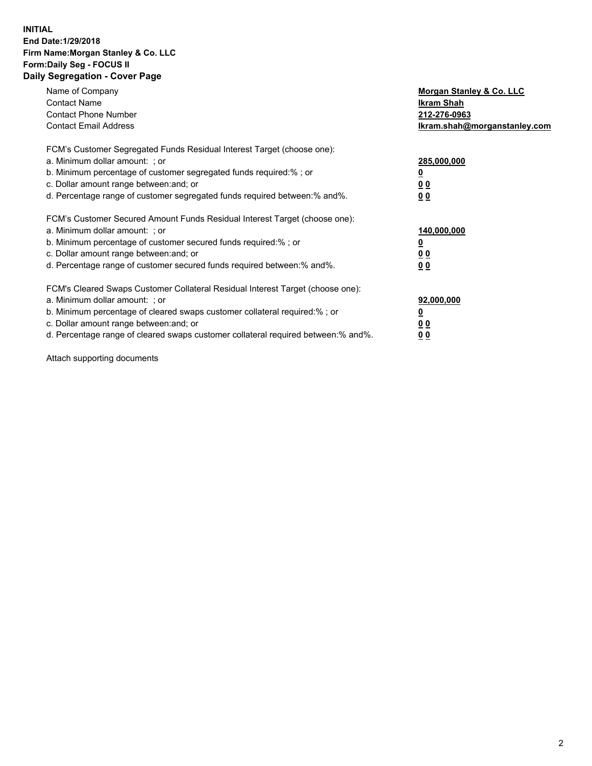#### **INITIAL End Date:1/29/2018 Firm Name:Morgan Stanley & Co. LLC Form:Daily Seg - FOCUS II Daily Segregation - Cover Page**

| Name of Company                                                                   | Morgan Stanley & Co. LLC     |
|-----------------------------------------------------------------------------------|------------------------------|
| <b>Contact Name</b>                                                               | Ikram Shah                   |
| <b>Contact Phone Number</b>                                                       | 212-276-0963                 |
| <b>Contact Email Address</b>                                                      | lkram.shah@morganstanley.com |
| FCM's Customer Segregated Funds Residual Interest Target (choose one):            |                              |
| a. Minimum dollar amount: ; or                                                    | 285,000,000                  |
| b. Minimum percentage of customer segregated funds required:%; or                 |                              |
| c. Dollar amount range between: and; or                                           | 00                           |
| d. Percentage range of customer segregated funds required between: % and %.       | 0 <sub>0</sub>               |
| FCM's Customer Secured Amount Funds Residual Interest Target (choose one):        |                              |
| a. Minimum dollar amount: ; or                                                    | 140,000,000                  |
| b. Minimum percentage of customer secured funds required:%; or                    |                              |
| c. Dollar amount range between: and; or                                           | 00                           |
| d. Percentage range of customer secured funds required between: % and %.          | 0 <sub>0</sub>               |
| FCM's Cleared Swaps Customer Collateral Residual Interest Target (choose one):    |                              |
| a. Minimum dollar amount: ; or                                                    | 92,000,000                   |
| b. Minimum percentage of cleared swaps customer collateral required:% ; or        | <u>0</u>                     |
| c. Dollar amount range between: and; or                                           | <u>00</u>                    |
| d. Percentage range of cleared swaps customer collateral required between:% and%. | 00                           |
|                                                                                   |                              |

Attach supporting documents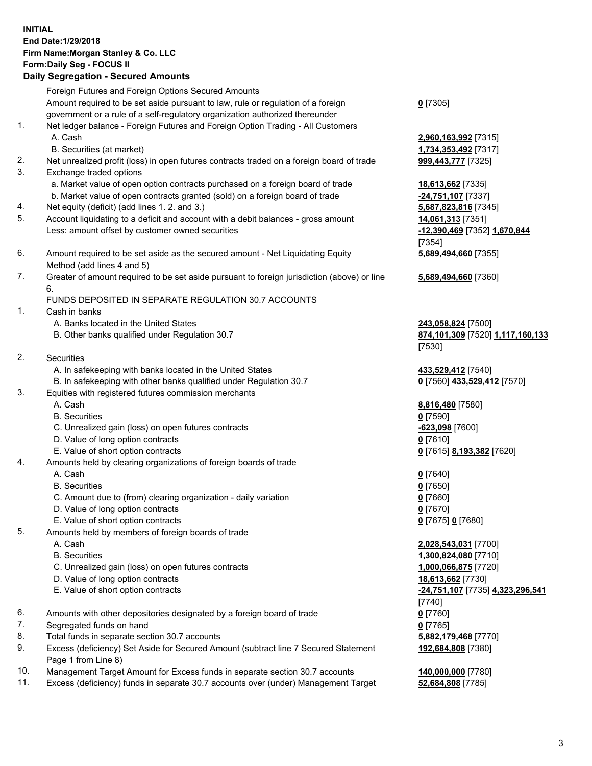## **INITIAL End Date:1/29/2018 Firm Name:Morgan Stanley & Co. LLC Form:Daily Seg - FOCUS II**

## **Daily Segregation - Secured Amounts**

|                | Foreign Futures and Foreign Options Secured Amounts                                               |                                                        |
|----------------|---------------------------------------------------------------------------------------------------|--------------------------------------------------------|
|                | Amount required to be set aside pursuant to law, rule or regulation of a foreign                  | $0$ [7305]                                             |
|                | government or a rule of a self-regulatory organization authorized thereunder                      |                                                        |
| $\mathbf{1}$ . | Net ledger balance - Foreign Futures and Foreign Option Trading - All Customers                   |                                                        |
|                | A. Cash                                                                                           | 2,960,163,992 [7315]                                   |
|                | B. Securities (at market)                                                                         | 1,734,353,492 [7317]                                   |
| 2.             | Net unrealized profit (loss) in open futures contracts traded on a foreign board of trade         | 999,443,777 [7325]                                     |
| 3.             | Exchange traded options                                                                           |                                                        |
|                | a. Market value of open option contracts purchased on a foreign board of trade                    | 18,613,662 [7335]                                      |
|                | b. Market value of open contracts granted (sold) on a foreign board of trade                      | $-24,751,107$ [7337]                                   |
| 4.<br>5.       | Net equity (deficit) (add lines 1.2. and 3.)                                                      | 5,687,823,816 [7345]                                   |
|                | Account liquidating to a deficit and account with a debit balances - gross amount                 | 14,061,313 [7351]                                      |
|                | Less: amount offset by customer owned securities                                                  | -12,390,469 [7352] 1,670,844                           |
|                |                                                                                                   | [7354]                                                 |
| 6.             | Amount required to be set aside as the secured amount - Net Liquidating Equity                    | 5,689,494,660 [7355]                                   |
|                | Method (add lines 4 and 5)                                                                        |                                                        |
| 7.             | Greater of amount required to be set aside pursuant to foreign jurisdiction (above) or line<br>6. | 5,689,494,660 [7360]                                   |
|                | FUNDS DEPOSITED IN SEPARATE REGULATION 30.7 ACCOUNTS                                              |                                                        |
| $\mathbf{1}$ . | Cash in banks                                                                                     |                                                        |
|                | A. Banks located in the United States                                                             |                                                        |
|                | B. Other banks qualified under Regulation 30.7                                                    | 243,058,824 [7500]<br>874,101,309 [7520] 1,117,160,133 |
|                |                                                                                                   | [7530]                                                 |
| 2.             | Securities                                                                                        |                                                        |
|                | A. In safekeeping with banks located in the United States                                         | 433,529,412 [7540]                                     |
|                | B. In safekeeping with other banks qualified under Regulation 30.7                                | 0 [7560] 433,529,412 [7570]                            |
| 3.             | Equities with registered futures commission merchants                                             |                                                        |
|                | A. Cash                                                                                           | 8,816,480 [7580]                                       |
|                | <b>B.</b> Securities                                                                              | $0$ [7590]                                             |
|                | C. Unrealized gain (loss) on open futures contracts                                               | $-623,098$ [7600]                                      |
|                | D. Value of long option contracts                                                                 | $0$ [7610]                                             |
|                | E. Value of short option contracts                                                                | 0 [7615] 8,193,382 [7620]                              |
| 4.             | Amounts held by clearing organizations of foreign boards of trade                                 |                                                        |
|                | A. Cash                                                                                           | $0$ [7640]                                             |
|                | <b>B.</b> Securities                                                                              | $0$ [7650]                                             |
|                | C. Amount due to (from) clearing organization - daily variation                                   | $0$ [7660]                                             |
|                | D. Value of long option contracts                                                                 | $0$ [7670]                                             |
|                | E. Value of short option contracts                                                                | 0 [7675] 0 [7680]                                      |
| 5.             | Amounts held by members of foreign boards of trade                                                |                                                        |
|                | A. Cash                                                                                           | 2,028,543,031 [7700]                                   |
|                | <b>B.</b> Securities                                                                              | 1,300,824,080 [7710]                                   |
|                | C. Unrealized gain (loss) on open futures contracts                                               | 1,000,066,875 [7720]                                   |
|                | D. Value of long option contracts                                                                 | 18,613,662 [7730]                                      |
|                | E. Value of short option contracts                                                                | -24,751,107 [7735] 4,323,296,541                       |
|                |                                                                                                   | [7740]                                                 |
| 6.             | Amounts with other depositories designated by a foreign board of trade                            | $0$ [7760]                                             |
| 7.             | Segregated funds on hand                                                                          | $0$ [7765]                                             |
| 8.             | Total funds in separate section 30.7 accounts                                                     | 5,882,179,468 [7770]                                   |
| 9.             | Excess (deficiency) Set Aside for Secured Amount (subtract line 7 Secured Statement               | 192,684,808 [7380]                                     |
|                | Page 1 from Line 8)                                                                               |                                                        |
| 10.            | Management Target Amount for Excess funds in separate section 30.7 accounts                       | 140,000,000 [7780]                                     |
| 11.            | Excess (deficiency) funds in separate 30.7 accounts over (under) Management Target                | 52,684,808 [7785]                                      |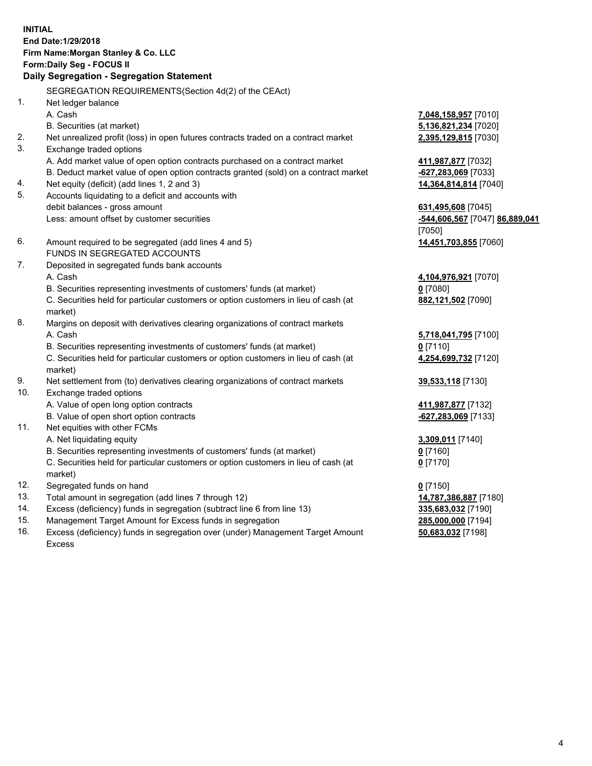## **INITIAL End Date:1/29/2018 Firm Name:Morgan Stanley & Co. LLC Form:Daily Seg - FOCUS II**

# **Daily Segregation - Segregation Statement**

SEGREGATION REQUIREMENTS(Section 4d(2) of the CEAct) 1. Net ledger balance A. Cash **7,048,158,957** [7010] B. Securities (at market) **5,136,821,234** [7020] 2. Net unrealized profit (loss) in open futures contracts traded on a contract market **2,395,129,815** [7030] 3. Exchange traded options A. Add market value of open option contracts purchased on a contract market **411,987,877** [7032] B. Deduct market value of open option contracts granted (sold) on a contract market **-627,283,069** [7033] 4. Net equity (deficit) (add lines 1, 2 and 3) **14,364,814,814** [7040] 5. Accounts liquidating to a deficit and accounts with debit balances - gross amount **631,495,608** [7045] Less: amount offset by customer securities **-544,606,567** [7047] **86,889,041** 6. Amount required to be segregated (add lines 4 and 5) **14,451,703,855** [7060] FUNDS IN SEGREGATED ACCOUNTS 7. Deposited in segregated funds bank accounts A. Cash **4,104,976,921** [7070] B. Securities representing investments of customers' funds (at market) **0** [7080] C. Securities held for particular customers or option customers in lieu of cash (at market) 8. Margins on deposit with derivatives clearing organizations of contract markets A. Cash **5,718,041,795** [7100] B. Securities representing investments of customers' funds (at market) **0** [7110] C. Securities held for particular customers or option customers in lieu of cash (at market) 9. Net settlement from (to) derivatives clearing organizations of contract markets **39,533,118** [7130] 10. Exchange traded options A. Value of open long option contracts **411,987,877** [7132] B. Value of open short option contracts **-627,283,069** [7133] 11. Net equities with other FCMs A. Net liquidating equity **3,309,011** [7140] B. Securities representing investments of customers' funds (at market) **0** [7160] C. Securities held for particular customers or option customers in lieu of cash (at market) 12. Segregated funds on hand **0** [7150] 13. Total amount in segregation (add lines 7 through 12) **14,787,386,887** [7180] 14. Excess (deficiency) funds in segregation (subtract line 6 from line 13) **335,683,032** [7190]

- 15. Management Target Amount for Excess funds in segregation **285,000,000** [7194]
- 16. Excess (deficiency) funds in segregation over (under) Management Target Amount Excess

[7050]

**882,121,502** [7090]

**4,254,699,732** [7120]

**0** [7170]

**50,683,032** [7198]